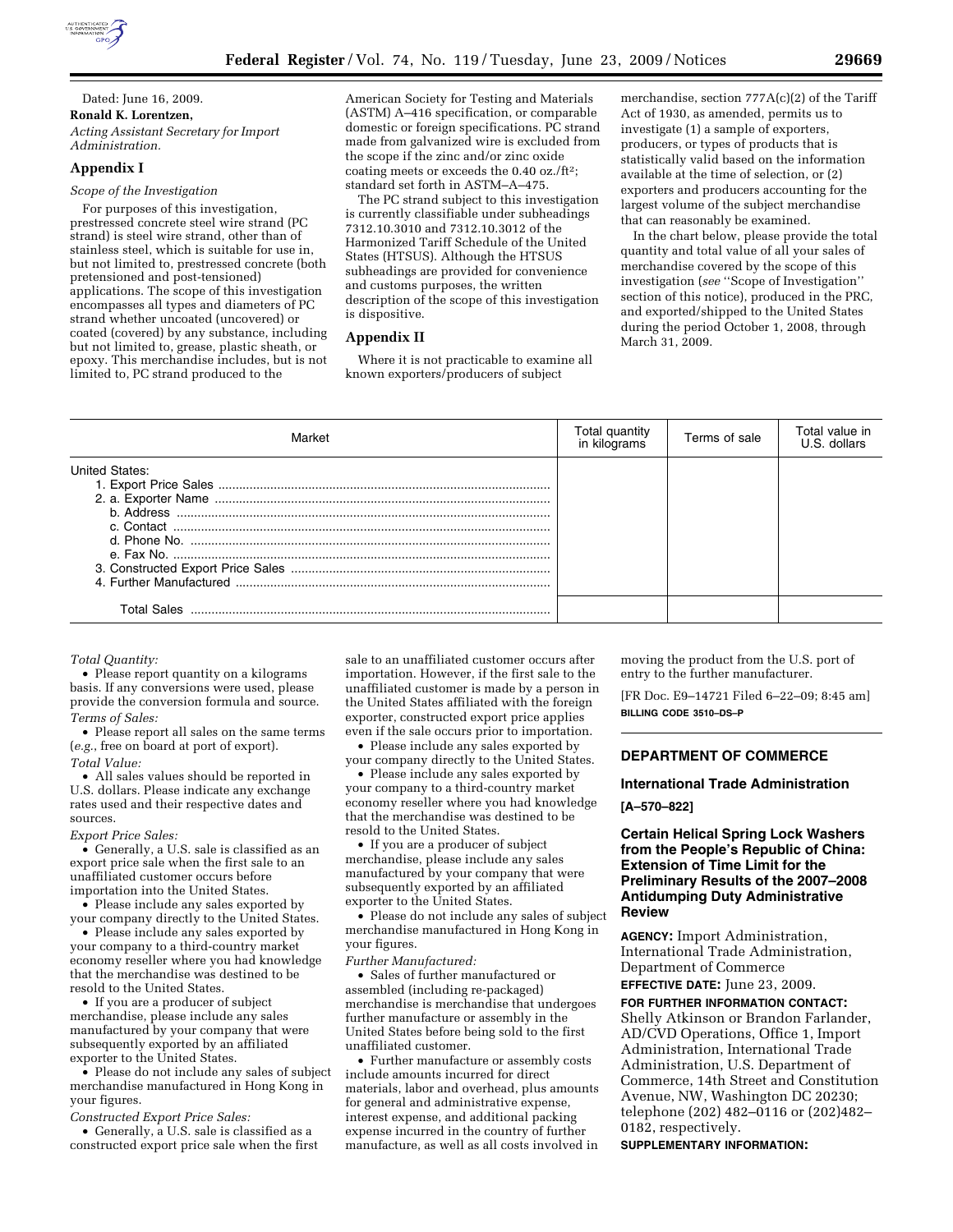

Dated: June 16, 2009. **Ronald K. Lorentzen,**  *Acting Assistant Secretary for Import Administration.* 

## **Appendix I**

*Scope of the Investigation* 

For purposes of this investigation, prestressed concrete steel wire strand (PC strand) is steel wire strand, other than of stainless steel, which is suitable for use in, but not limited to, prestressed concrete (both pretensioned and post-tensioned) applications. The scope of this investigation encompasses all types and diameters of PC strand whether uncoated (uncovered) or coated (covered) by any substance, including but not limited to, grease, plastic sheath, or epoxy. This merchandise includes, but is not limited to, PC strand produced to the

American Society for Testing and Materials (ASTM) A–416 specification, or comparable domestic or foreign specifications. PC strand made from galvanized wire is excluded from the scope if the zinc and/or zinc oxide coating meets or exceeds the 0.40 oz./ft2; standard set forth in ASTM–A–475.

The PC strand subject to this investigation is currently classifiable under subheadings 7312.10.3010 and 7312.10.3012 of the Harmonized Tariff Schedule of the United States (HTSUS). Although the HTSUS subheadings are provided for convenience and customs purposes, the written description of the scope of this investigation is dispositive.

### **Appendix II**

Where it is not practicable to examine all known exporters/producers of subject

merchandise, section 777A(c)(2) of the Tariff Act of 1930, as amended, permits us to investigate (1) a sample of exporters, producers, or types of products that is statistically valid based on the information available at the time of selection, or (2) exporters and producers accounting for the largest volume of the subject merchandise that can reasonably be examined.

In the chart below, please provide the total quantity and total value of all your sales of merchandise covered by the scope of this investigation (*see* ''Scope of Investigation'' section of this notice), produced in the PRC, and exported/shipped to the United States during the period October 1, 2008, through March 31, 2009.

| Market                               | Total quantity<br>in kilograms | Terms of sale | Total value in<br>U.S. dollars |
|--------------------------------------|--------------------------------|---------------|--------------------------------|
| United States:<br><b>Total Sales</b> |                                |               |                                |

*Total Quantity:* 

• Please report quantity on a kilograms basis. If any conversions were used, please provide the conversion formula and source. *Terms of Sales:* 

• Please report all sales on the same terms (*e.g.*, free on board at port of export). *Total Value:* 

• All sales values should be reported in U.S. dollars. Please indicate any exchange rates used and their respective dates and sources.

### *Export Price Sales:*

• Generally, a U.S. sale is classified as an export price sale when the first sale to an unaffiliated customer occurs before importation into the United States.

• Please include any sales exported by your company directly to the United States.

• Please include any sales exported by your company to a third-country market economy reseller where you had knowledge that the merchandise was destined to be resold to the United States.

• If you are a producer of subject merchandise, please include any sales manufactured by your company that were subsequently exported by an affiliated exporter to the United States.

• Please do not include any sales of subject merchandise manufactured in Hong Kong in your figures.

*Constructed Export Price Sales:* 

• Generally, a U.S. sale is classified as a constructed export price sale when the first

sale to an unaffiliated customer occurs after importation. However, if the first sale to the unaffiliated customer is made by a person in the United States affiliated with the foreign exporter, constructed export price applies even if the sale occurs prior to importation.

• Please include any sales exported by your company directly to the United States.

• Please include any sales exported by your company to a third-country market economy reseller where you had knowledge that the merchandise was destined to be resold to the United States.

• If you are a producer of subject merchandise, please include any sales manufactured by your company that were subsequently exported by an affiliated exporter to the United States.

• Please do not include any sales of subject merchandise manufactured in Hong Kong in your figures.

*Further Manufactured:* 

• Sales of further manufactured or assembled (including re-packaged) merchandise is merchandise that undergoes further manufacture or assembly in the United States before being sold to the first unaffiliated customer.

• Further manufacture or assembly costs include amounts incurred for direct materials, labor and overhead, plus amounts for general and administrative expense, interest expense, and additional packing expense incurred in the country of further manufacture, as well as all costs involved in moving the product from the U.S. port of entry to the further manufacturer.

[FR Doc. E9–14721 Filed 6–22–09; 8:45 am] **BILLING CODE 3510–DS–P** 

## **DEPARTMENT OF COMMERCE**

### **International Trade Administration**

**[A–570–822]** 

## **Certain Helical Spring Lock Washers from the People's Republic of China: Extension of Time Limit for the Preliminary Results of the 2007–2008 Antidumping Duty Administrative Review**

**AGENCY:** Import Administration, International Trade Administration, Department of Commerce

**EFFECTIVE DATE:** June 23, 2009.

**FOR FURTHER INFORMATION CONTACT:**  Shelly Atkinson or Brandon Farlander, AD/CVD Operations, Office 1, Import Administration, International Trade Administration, U.S. Department of Commerce, 14th Street and Constitution Avenue, NW, Washington DC 20230; telephone (202) 482–0116 or (202)482– 0182, respectively.

**SUPPLEMENTARY INFORMATION:**